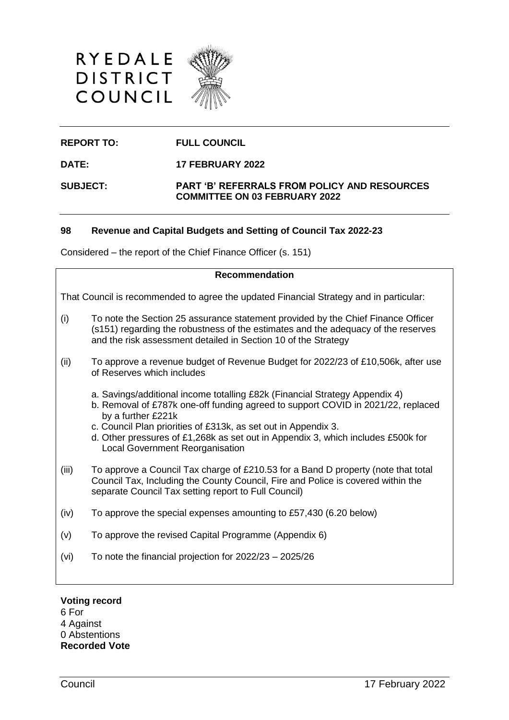



# **REPORT TO: FULL COUNCIL**

**DATE: 17 FEBRUARY 2022**

### **SUBJECT: PART 'B' REFERRALS FROM POLICY AND RESOURCES COMMITTEE ON 03 FEBRUARY 2022**

## **98 Revenue and Capital Budgets and Setting of Council Tax 2022-23**

Considered – the report of the Chief Finance Officer (s. 151)

## **Recommendation**

That Council is recommended to agree the updated Financial Strategy and in particular:

- (i) To note the Section 25 assurance statement provided by the Chief Finance Officer (s151) regarding the robustness of the estimates and the adequacy of the reserves and the risk assessment detailed in Section 10 of the Strategy
- (ii) To approve a revenue budget of Revenue Budget for 2022/23 of £10,506k, after use of Reserves which includes
	- a. Savings/additional income totalling £82k (Financial Strategy Appendix 4)
	- b. Removal of £787k one-off funding agreed to support COVID in 2021/22, replaced by a further £221k
	- c. Council Plan priorities of £313k, as set out in Appendix 3.
	- d. Other pressures of £1,268k as set out in Appendix 3, which includes £500k for Local Government Reorganisation
- (iii) To approve a Council Tax charge of £210.53 for a Band D property (note that total Council Tax, Including the County Council, Fire and Police is covered within the separate Council Tax setting report to Full Council)
- (iv) To approve the special expenses amounting to £57,430 (6.20 below)
- (v) To approve the revised Capital Programme (Appendix 6)
- (vi) To note the financial projection for 2022/23 2025/26

#### **Voting record**

6 For 4 Against 0 Abstentions **Recorded Vote**